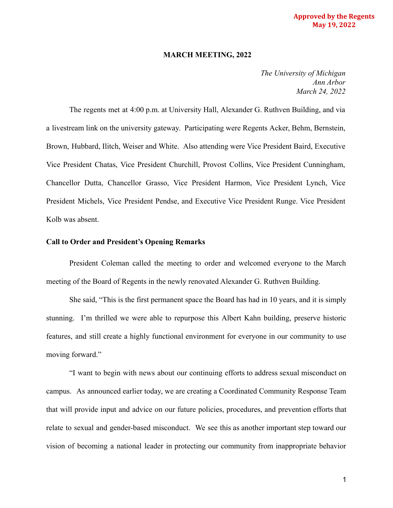#### **Approved by the Regents May 19, 2022**

#### **MARCH MEETING, 2022**

*The University of Michigan Ann Arbor March 24, 2022*

The regents met at 4:00 p.m. at University Hall, Alexander G. Ruthven Building, and via a livestream link on the university gateway. Participating were Regents Acker, Behm, Bernstein, Brown, Hubbard, Ilitch, Weiser and White. Also attending were Vice President Baird, Executive Vice President Chatas, Vice President Churchill, Provost Collins, Vice President Cunningham, Chancellor Dutta, Chancellor Grasso, Vice President Harmon, Vice President Lynch, Vice President Michels, Vice President Pendse, and Executive Vice President Runge. Vice President Kolb was absent.

#### **Call to Order and President's Opening Remarks**

President Coleman called the meeting to order and welcomed everyone to the March meeting of the Board of Regents in the newly renovated Alexander G. Ruthven Building.

She said, "This is the first permanent space the Board has had in 10 years, and it is simply stunning. I'm thrilled we were able to repurpose this Albert Kahn building, preserve historic features, and still create a highly functional environment for everyone in our community to use moving forward."

"I want to begin with news about our continuing efforts to address sexual misconduct on campus. As announced earlier today, we are creating a Coordinated Community Response Team that will provide input and advice on our future policies, procedures, and prevention efforts that relate to sexual and gender-based misconduct. We see this as another important step toward our vision of becoming a national leader in protecting our community from inappropriate behavior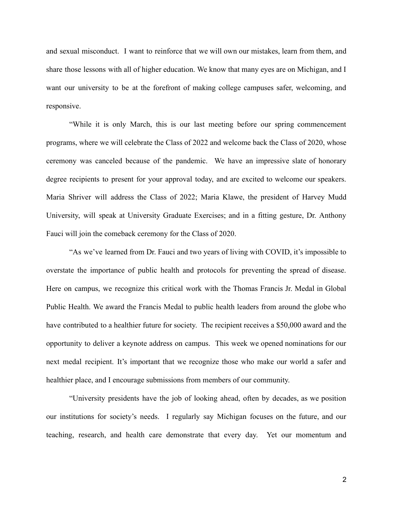and sexual misconduct. I want to reinforce that we will own our mistakes, learn from them, and share those lessons with all of higher education. We know that many eyes are on Michigan, and I want our university to be at the forefront of making college campuses safer, welcoming, and responsive.

"While it is only March, this is our last meeting before our spring commencement programs, where we will celebrate the Class of 2022 and welcome back the Class of 2020, whose ceremony was canceled because of the pandemic. We have an impressive slate of honorary degree recipients to present for your approval today, and are excited to welcome our speakers. Maria Shriver will address the Class of 2022; Maria Klawe, the president of Harvey Mudd University, will speak at University Graduate Exercises; and in a fitting gesture, Dr. Anthony Fauci will join the comeback ceremony for the Class of 2020.

"As we've learned from Dr. Fauci and two years of living with COVID, it's impossible to overstate the importance of public health and protocols for preventing the spread of disease. Here on campus, we recognize this critical work with the Thomas Francis Jr. Medal in Global Public Health. We award the Francis Medal to public health leaders from around the globe who have contributed to a healthier future for society. The recipient receives a \$50,000 award and the opportunity to deliver a keynote address on campus. This week we opened nominations for our next medal recipient. It's important that we recognize those who make our world a safer and healthier place, and I encourage submissions from members of our community.

"University presidents have the job of looking ahead, often by decades, as we position our institutions for society's needs. I regularly say Michigan focuses on the future, and our teaching, research, and health care demonstrate that every day. Yet our momentum and

2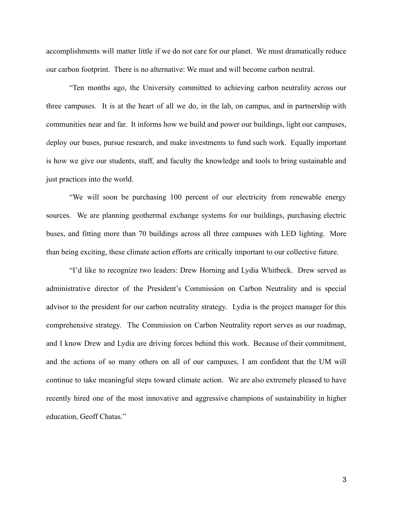accomplishments will matter little if we do not care for our planet. We must dramatically reduce our carbon footprint. There is no alternative: We must and will become carbon neutral.

"Ten months ago, the University committed to achieving carbon neutrality across our three campuses. It is at the heart of all we do, in the lab, on campus, and in partnership with communities near and far. It informs how we build and power our buildings, light our campuses, deploy our buses, pursue research, and make investments to fund such work. Equally important is how we give our students, staff, and faculty the knowledge and tools to bring sustainable and just practices into the world.

"We will soon be purchasing 100 percent of our electricity from renewable energy sources. We are planning geothermal exchange systems for our buildings, purchasing electric buses, and fitting more than 70 buildings across all three campuses with LED lighting. More than being exciting, these climate action efforts are critically important to our collective future.

"I'd like to recognize two leaders: Drew Horning and Lydia Whitbeck. Drew served as administrative director of the President's Commission on Carbon Neutrality and is special advisor to the president for our carbon neutrality strategy. Lydia is the project manager for this comprehensive strategy. The Commission on Carbon Neutrality report serves as our roadmap, and I know Drew and Lydia are driving forces behind this work. Because of their commitment, and the actions of so many others on all of our campuses, I am confident that the UM will continue to take meaningful steps toward climate action. We are also extremely pleased to have recently hired one of the most innovative and aggressive champions of sustainability in higher education, Geoff Chatas."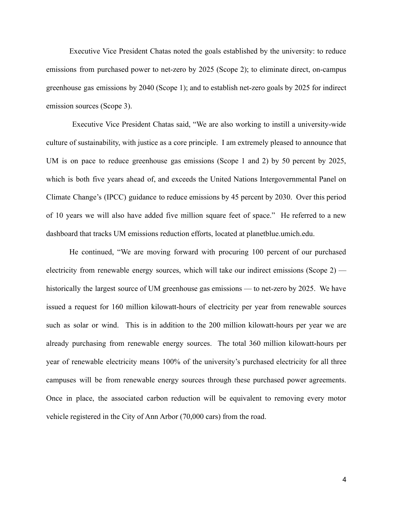Executive Vice President Chatas noted the goals established by the university: to reduce emissions from purchased power to net-zero by 2025 (Scope 2); to eliminate direct, on-campus greenhouse gas emissions by 2040 (Scope 1); and to establish net-zero goals by 2025 for indirect emission sources (Scope 3).

Executive Vice President Chatas said, "We are also working to instill a university-wide culture of sustainability, with justice as a core principle. I am extremely pleased to announce that UM is on pace to reduce greenhouse gas emissions (Scope 1 and 2) by 50 percent by 2025, which is both five years ahead of, and exceeds the United Nations Intergovernmental Panel on Climate Change's (IPCC) guidance to reduce emissions by 45 percent by 2030. Over this period of 10 years we will also have added five million square feet of space." He referred to a new dashboard that tracks UM emissions reduction efforts, located at planetblue.umich.edu.

He continued, "We are moving forward with procuring 100 percent of our purchased electricity from renewable energy sources, which will take our indirect emissions (Scope  $2$ ) historically the largest source of UM greenhouse gas emissions — to net-zero by 2025. We have issued a request for 160 million kilowatt-hours of electricity per year from renewable sources such as solar or wind. This is in addition to the 200 million kilowatt-hours per year we are already purchasing from renewable energy sources. The total 360 million kilowatt-hours per year of renewable electricity means 100% of the university's purchased electricity for all three campuses will be from renewable energy sources through these purchased power agreements. Once in place, the associated carbon reduction will be equivalent to removing every motor vehicle registered in the City of Ann Arbor (70,000 cars) from the road.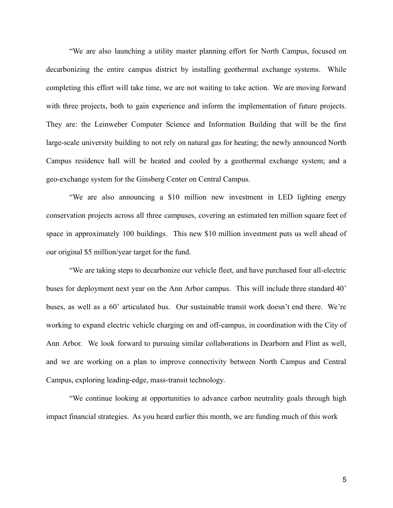"We are also launching a utility master planning effort for North Campus, focused on decarbonizing the entire campus district by installing geothermal exchange systems. While completing this effort will take time, we are not waiting to take action. We are moving forward with three projects, both to gain experience and inform the implementation of future projects. They are: the Leinweber Computer Science and Information Building that will be the first large-scale university building to not rely on natural gas for heating; the newly announced North Campus residence hall will be heated and cooled by a geothermal exchange system; and a geo-exchange system for the Ginsberg Center on Central Campus.

"We are also announcing a \$10 million new investment in LED lighting energy conservation projects across all three campuses, covering an estimated ten million square feet of space in approximately 100 buildings. This new \$10 million investment puts us well ahead of our original \$5 million/year target for the fund.

"We are taking steps to decarbonize our vehicle fleet, and have purchased four all-electric buses for deployment next year on the Ann Arbor campus. This will include three standard 40' buses, as well as a 60' articulated bus. Our sustainable transit work doesn't end there. We're working to expand electric vehicle charging on and off-campus, in coordination with the City of Ann Arbor. We look forward to pursuing similar collaborations in Dearborn and Flint as well, and we are working on a plan to improve connectivity between North Campus and Central Campus, exploring leading-edge, mass-transit technology.

"We continue looking at opportunities to advance carbon neutrality goals through high impact financial strategies. As you heard earlier this month, we are funding much of this work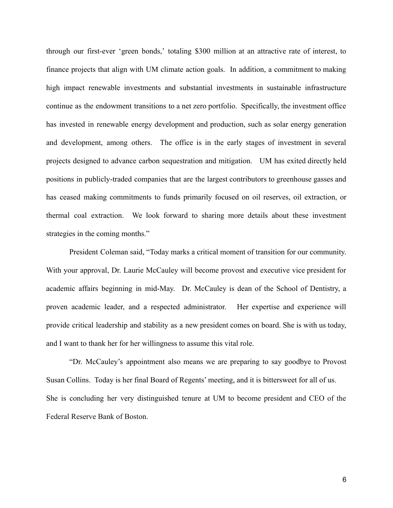through our first-ever 'green bonds,' totaling \$300 million at an attractive rate of interest, to finance projects that align with UM climate action goals. In addition, a commitment to making high impact renewable investments and substantial investments in sustainable infrastructure continue as the endowment transitions to a net zero portfolio. Specifically, the investment office has invested in renewable energy development and production, such as solar energy generation and development, among others. The office is in the early stages of investment in several projects designed to advance carbon sequestration and mitigation. UM has exited directly held positions in publicly-traded companies that are the largest contributors to greenhouse gasses and has ceased making commitments to funds primarily focused on oil reserves, oil extraction, or thermal coal extraction. We look forward to sharing more details about these investment strategies in the coming months."

President Coleman said, "Today marks a critical moment of transition for our community. With your approval, Dr. Laurie McCauley will become provost and executive vice president for academic affairs beginning in mid-May. Dr. McCauley is dean of the School of Dentistry, a proven academic leader, and a respected administrator. Her expertise and experience will provide critical leadership and stability as a new president comes on board. She is with us today, and I want to thank her for her willingness to assume this vital role.

"Dr. McCauley's appointment also means we are preparing to say goodbye to Provost Susan Collins. Today is her final Board of Regents' meeting, and it is bittersweet for all of us. She is concluding her very distinguished tenure at UM to become president and CEO of the Federal Reserve Bank of Boston.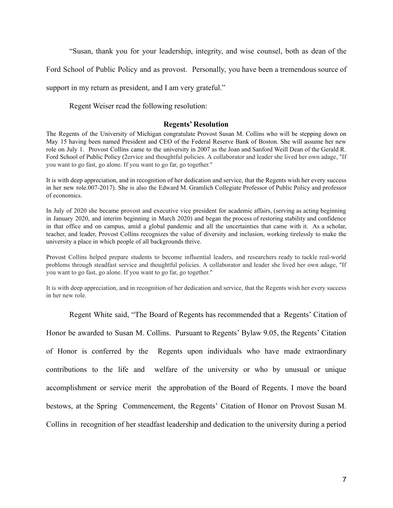"Susan, thank you for your leadership, integrity, and wise counsel, both as dean of the

Ford School of Public Policy and as provost. Personally, you have been a tremendous source of

support in my return as president, and I am very grateful."

Regent Weiser read the following resolution:

#### **Regents' Resolution**

The Regents of the University of Michigan congratulate Provost Susan M. Collins who will be stepping down on May 15 having been named President and CEO of the Federal Reserve Bank of Boston. She will assume her new role on July 1. Provost Collins came to the university in 2007 as the Joan and Sanford Weill Dean of the Gerald R. Ford School of Public Policy (2ervice and thoughtful policies. A collaborator and leader she lived her own adage, "If you want to go fast, go alone. If you want to go far, go together."

It is with deep appreciation, and in recognition of her dedication and service, that the Regents wish her every success in her new role.007-2017). She is also the Edward M. Gramlich Collegiate Professor of Public Policy and professor of economics.

In July of 2020 she became provost and executive vice president for academic affairs, (serving as acting beginning in January 2020, and interim beginning in March 2020) and began the process of restoring stability and confidence in that office and on campus, amid a global pandemic and all the uncertainties that came with it. As a scholar, teacher, and leader, Provost Collins recognizes the value of diversity and inclusion, working tirelessly to make the university a place in which people of all backgrounds thrive.

Provost Collins helped prepare students to become influential leaders, and researchers ready to tackle real-world problems through steadfast service and thoughtful policies. A collaborator and leader she lived her own adage, "If you want to go fast, go alone. If you want to go far, go together."

It is with deep appreciation, and in recognition of her dedication and service, that the Regents wish her every success in her new role.

Regent White said, "The Board of Regents has recommended that a Regents' Citation of

Honor be awarded to Susan M. Collins. Pursuant to Regents' Bylaw 9.05, the Regents' Citation of Honor is conferred by the Regents upon individuals who have made extraordinary contributions to the life and welfare of the university or who by unusual or unique accomplishment or service merit the approbation of the Board of Regents. I move the board bestows, at the Spring Commencement, the Regents' Citation of Honor on Provost Susan M. Collins in recognition of her steadfast leadership and dedication to the university during a period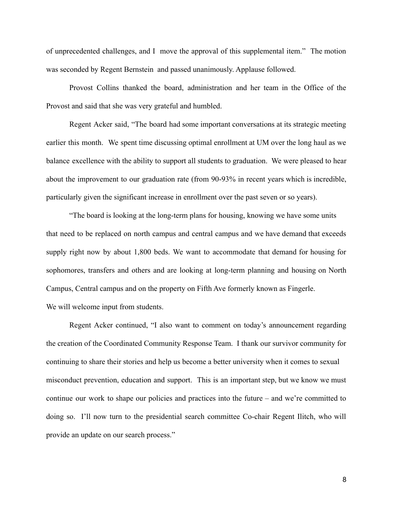of unprecedented challenges, and I move the approval of this supplemental item." The motion was seconded by Regent Bernstein and passed unanimously. Applause followed.

Provost Collins thanked the board, administration and her team in the Office of the Provost and said that she was very grateful and humbled.

Regent Acker said, "The board had some important conversations at its strategic meeting earlier this month. We spent time discussing optimal enrollment at UM over the long haul as we balance excellence with the ability to support all students to graduation. We were pleased to hear about the improvement to our graduation rate (from 90-93% in recent years which is incredible, particularly given the significant increase in enrollment over the past seven or so years).

"The board is looking at the long-term plans for housing, knowing we have some units that need to be replaced on north campus and central campus and we have demand that exceeds supply right now by about 1,800 beds. We want to accommodate that demand for housing for sophomores, transfers and others and are looking at long-term planning and housing on North Campus, Central campus and on the property on Fifth Ave formerly known as Fingerle. We will welcome input from students.

Regent Acker continued, "I also want to comment on today's announcement regarding the creation of the Coordinated Community Response Team. I thank our survivor community for continuing to share their stories and help us become a better university when it comes to sexual misconduct prevention, education and support. This is an important step, but we know we must continue our work to shape our policies and practices into the future – and we're committed to doing so. I'll now turn to the presidential search committee Co-chair Regent Ilitch, who will provide an update on our search process."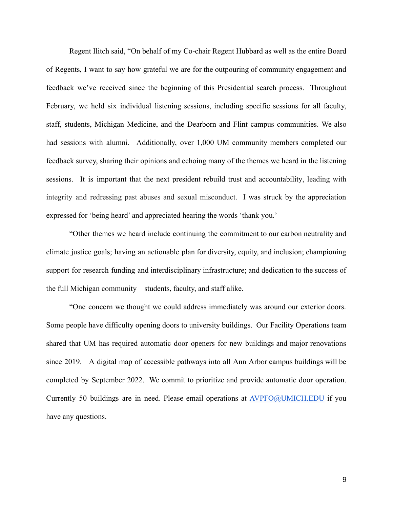Regent Ilitch said, "On behalf of my Co-chair Regent Hubbard as well as the entire Board of Regents, I want to say how grateful we are for the outpouring of community engagement and feedback we've received since the beginning of this Presidential search process. Throughout February, we held six individual listening sessions, including specific sessions for all faculty, staff, students, Michigan Medicine, and the Dearborn and Flint campus communities. We also had sessions with alumni. Additionally, over 1,000 UM community members completed our feedback survey, sharing their opinions and echoing many of the themes we heard in the listening sessions. It is important that the next president rebuild trust and accountability, leading with integrity and redressing past abuses and sexual misconduct. I was struck by the appreciation expressed for 'being heard' and appreciated hearing the words 'thank you.'

"Other themes we heard include continuing the commitment to our carbon neutrality and climate justice goals; having an actionable plan for diversity, equity, and inclusion; championing support for research funding and interdisciplinary infrastructure; and dedication to the success of the full Michigan community – students, faculty, and staff alike.

"One concern we thought we could address immediately was around our exterior doors. Some people have difficulty opening doors to university buildings. Our Facility Operations team shared that UM has required automatic door openers for new buildings and major renovations since 2019. A digital map of accessible pathways into all Ann Arbor campus buildings will be completed by September 2022. We commit to prioritize and provide automatic door operation. Currently 50 buildings are in need. Please email operations at [AVPFO@UMICH.EDU](mailto:AVPFO@UMICH.EDU) if you have any questions.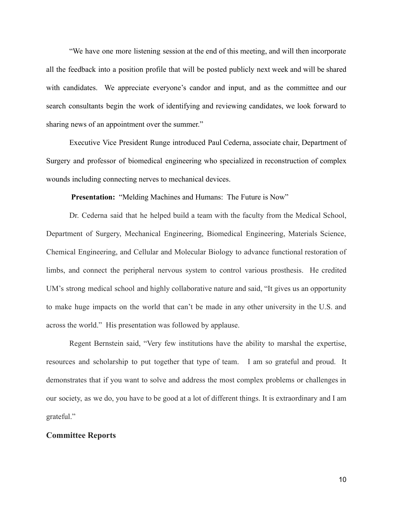"We have one more listening session at the end of this meeting, and will then incorporate all the feedback into a position profile that will be posted publicly next week and will be shared with candidates. We appreciate everyone's candor and input, and as the committee and our search consultants begin the work of identifying and reviewing candidates, we look forward to sharing news of an appointment over the summer."

Executive Vice President Runge introduced Paul Cederna, associate chair, Department of Surgery and professor of biomedical engineering who specialized in reconstruction of complex wounds including connecting nerves to mechanical devices.

**Presentation:** "Melding Machines and Humans: The Future is Now"

Dr. Cederna said that he helped build a team with the faculty from the Medical School, Department of Surgery, Mechanical Engineering, Biomedical Engineering, Materials Science, Chemical Engineering, and Cellular and Molecular Biology to advance functional restoration of limbs, and connect the peripheral nervous system to control various prosthesis. He credited UM's strong medical school and highly collaborative nature and said, "It gives us an opportunity to make huge impacts on the world that can't be made in any other university in the U.S. and across the world." His presentation was followed by applause.

Regent Bernstein said, "Very few institutions have the ability to marshal the expertise, resources and scholarship to put together that type of team. I am so grateful and proud. It demonstrates that if you want to solve and address the most complex problems or challenges in our society, as we do, you have to be good at a lot of different things. It is extraordinary and I am grateful."

### **Committee Reports**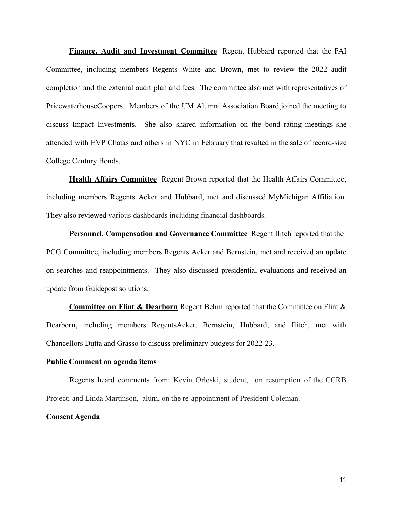**Finance, Audit and Investment Committee** Regent Hubbard reported that the FAI Committee, including members Regents White and Brown, met to review the 2022 audit completion and the external audit plan and fees. The committee also met with representatives of PricewaterhouseCoopers. Members of the UM Alumni Association Board joined the meeting to discuss Impact Investments. She also shared information on the bond rating meetings she attended with EVP Chatas and others in NYC in February that resulted in the sale of record-size College Century Bonds.

**Health Affairs Committee** Regent Brown reported that the Health Affairs Committee, including members Regents Acker and Hubbard, met and discussed MyMichigan Affiliation. They also reviewed various dashboards including financial dashboards.

**Personnel, Compensation and Governance Committee** Regent Ilitch reported that the PCG Committee, including members Regents Acker and Bernstein, met and received an update on searches and reappointments. They also discussed presidential evaluations and received an update from Guidepost solutions.

**Committee on Flint & Dearborn** Regent Behm reported that the Committee on Flint & Dearborn, including members RegentsAcker, Bernstein, Hubbard, and Ilitch, met with Chancellors Dutta and Grasso to discuss preliminary budgets for 2022-23.

#### **Public Comment on agenda items**

Regents heard comments from: Kevin Orloski, student, on resumption of the CCRB Project; and Linda Martinson, alum, on the re-appointment of President Coleman.

**Consent Agenda**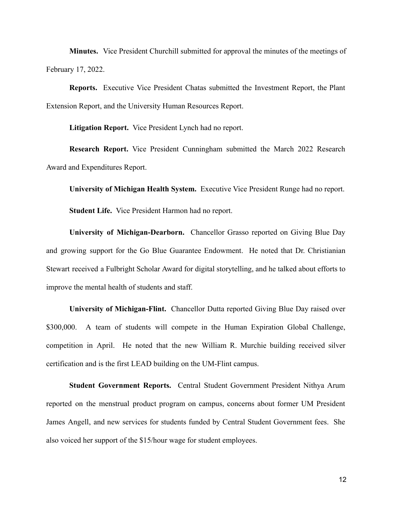**Minutes.** Vice President Churchill submitted for approval the minutes of the meetings of February 17, 2022.

**Reports.** Executive Vice President Chatas submitted the Investment Report, the Plant Extension Report, and the University Human Resources Report.

**Litigation Report.** Vice President Lynch had no report.

**Research Report.** Vice President Cunningham submitted the March 2022 Research Award and Expenditures Report.

**University of Michigan Health System.** Executive Vice President Runge had no report. **Student Life.** Vice President Harmon had no report.

**University of Michigan-Dearborn.** Chancellor Grasso reported on Giving Blue Day and growing support for the Go Blue Guarantee Endowment. He noted that Dr. Christianian Stewart received a Fulbright Scholar Award for digital storytelling, and he talked about efforts to improve the mental health of students and staff.

**University of Michigan-Flint.** Chancellor Dutta reported Giving Blue Day raised over \$300,000. A team of students will compete in the Human Expiration Global Challenge, competition in April. He noted that the new William R. Murchie building received silver certification and is the first LEAD building on the UM-Flint campus.

**Student Government Reports.** Central Student Government President Nithya Arum reported on the menstrual product program on campus, concerns about former UM President James Angell, and new services for students funded by Central Student Government fees. She also voiced her support of the \$15/hour wage for student employees.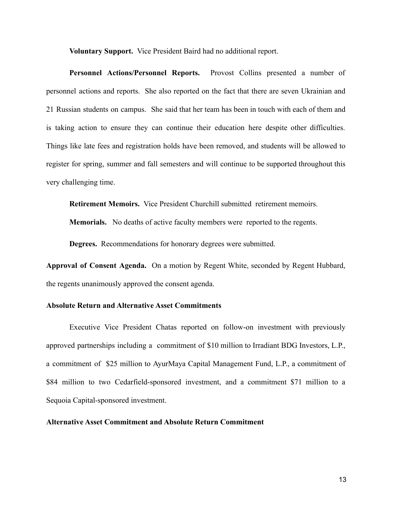**Voluntary Support.** Vice President Baird had no additional report.

**Personnel Actions/Personnel Reports.** Provost Collins presented a number of personnel actions and reports. She also reported on the fact that there are seven Ukrainian and 21 Russian students on campus. She said that her team has been in touch with each of them and is taking action to ensure they can continue their education here despite other difficulties. Things like late fees and registration holds have been removed, and students will be allowed to register for spring, summer and fall semesters and will continue to be supported throughout this very challenging time.

**Retirement Memoirs.** Vice President Churchill submitted retirement memoirs.

**Memorials.** No deaths of active faculty members were reported to the regents.

**Degrees.** Recommendations for honorary degrees were submitted.

**Approval of Consent Agenda.** On a motion by Regent White, seconded by Regent Hubbard, the regents unanimously approved the consent agenda.

### **Absolute Return and Alternative Asset Commitments**

Executive Vice President Chatas reported on follow-on investment with previously approved partnerships including a commitment of \$10 million to Irradiant BDG Investors, L.P., a commitment of \$25 million to AyurMaya Capital Management Fund, L.P., a commitment of \$84 million to two Cedarfield-sponsored investment, and a commitment \$71 million to a Sequoia Capital-sponsored investment.

## **Alternative Asset Commitment and Absolute Return Commitment**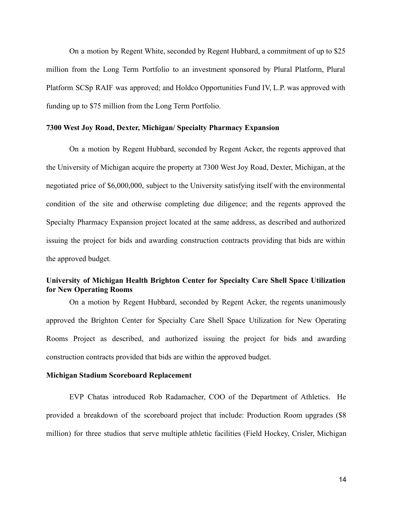On a motion by Regent White, seconded by Regent Hubbard, a commitment of up to \$25 million from the Long Term Portfolio to an investment sponsored by Plural Platform, Plural Platform SCSp RAIF was approved; and Holdco Opportunities Fund IV, L.P. was approved with funding up to \$75 million from the Long Term Portfolio.

#### **7300 West Joy Road, Dexter, Michigan/ Specialty Pharmacy Expansion**

On a motion by Regent Hubbard, seconded by Regent Acker, the regents approved that the University of Michigan acquire the property at 7300 West Joy Road, Dexter, Michigan, at the negotiated price of \$6,000,000, subject to the University satisfying itself with the environmental condition of the site and otherwise completing due diligence; and the regents approved the Specialty Pharmacy Expansion project located at the same address, as described and authorized issuing the project for bids and awarding construction contracts providing that bids are within the approved budget.

# **University of Michigan Health Brighton Center for Specialty Care Shell Space Utilization for New Operating Rooms**

On a motion by Regent Hubbard, seconded by Regent Acker, the regents unanimously approved the Brighton Center for Specialty Care Shell Space Utilization for New Operating Rooms Project as described, and authorized issuing the project for bids and awarding construction contracts provided that bids are within the approved budget.

### **Michigan Stadium Scoreboard Replacement**

EVP Chatas introduced Rob Radamacher, COO of the Department of Athletics. He provided a breakdown of the scoreboard project that include: Production Room upgrades (\$8 million) for three studios that serve multiple athletic facilities (Field Hockey, Crisler, Michigan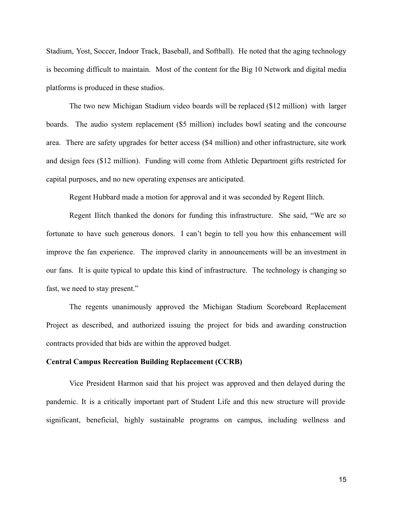Stadium, Yost, Soccer, Indoor Track, Baseball, and Softball). He noted that the aging technology is becoming difficult to maintain. Most of the content for the Big 10 Network and digital media platforms is produced in these studios.

The two new Michigan Stadium video boards will be replaced (\$12 million) with larger boards. The audio system replacement (\$5 million) includes bowl seating and the concourse area. There are safety upgrades for better access (\$4 million) and other infrastructure, site work and design fees (\$12 million). Funding will come from Athletic Department gifts restricted for capital purposes, and no new operating expenses are anticipated.

Regent Hubbard made a motion for approval and it was seconded by Regent Ilitch.

Regent Ilitch thanked the donors for funding this infrastructure. She said, "We are so fortunate to have such generous donors. I can't begin to tell you how this enhancement will improve the fan experience. The improved clarity in announcements will be an investment in our fans. It is quite typical to update this kind of infrastructure. The technology is changing so fast, we need to stay present."

The regents unanimously approved the Michigan Stadium Scoreboard Replacement Project as described, and authorized issuing the project for bids and awarding construction contracts provided that bids are within the approved budget.

#### **Central Campus Recreation Building Replacement (CCRB)**

Vice President Harmon said that his project was approved and then delayed during the pandemic. It is a critically important part of Student Life and this new structure will provide significant, beneficial, highly sustainable programs on campus, including wellness and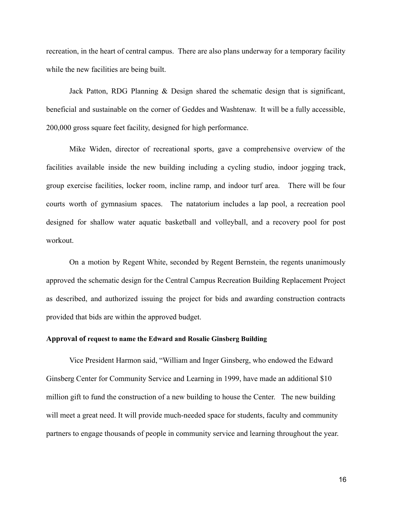recreation, in the heart of central campus. There are also plans underway for a temporary facility while the new facilities are being built.

Jack Patton, RDG Planning & Design shared the schematic design that is significant, beneficial and sustainable on the corner of Geddes and Washtenaw. It will be a fully accessible, 200,000 gross square feet facility, designed for high performance.

Mike Widen, director of recreational sports, gave a comprehensive overview of the facilities available inside the new building including a cycling studio, indoor jogging track, group exercise facilities, locker room, incline ramp, and indoor turf area. There will be four courts worth of gymnasium spaces. The natatorium includes a lap pool, a recreation pool designed for shallow water aquatic basketball and volleyball, and a recovery pool for post workout.

On a motion by Regent White, seconded by Regent Bernstein, the regents unanimously approved the schematic design for the Central Campus Recreation Building Replacement Project as described, and authorized issuing the project for bids and awarding construction contracts provided that bids are within the approved budget.

### **Approval of request to name the Edward and Rosalie Ginsberg Building**

Vice President Harmon said, "William and Inger Ginsberg, who endowed the Edward Ginsberg Center for Community Service and Learning in 1999, have made an additional \$10 million gift to fund the construction of a new building to house the Center. The new building will meet a great need. It will provide much-needed space for students, faculty and community partners to engage thousands of people in community service and learning throughout the year.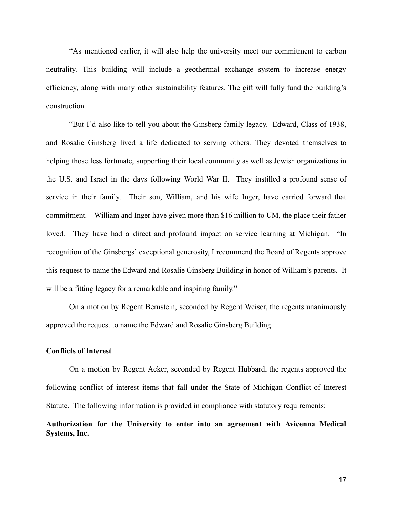"As mentioned earlier, it will also help the university meet our commitment to carbon neutrality. This building will include a geothermal exchange system to increase energy efficiency, along with many other sustainability features. The gift will fully fund the building's construction.

"But I'd also like to tell you about the Ginsberg family legacy. Edward, Class of 1938, and Rosalie Ginsberg lived a life dedicated to serving others. They devoted themselves to helping those less fortunate, supporting their local community as well as Jewish organizations in the U.S. and Israel in the days following World War II. They instilled a profound sense of service in their family. Their son, William, and his wife Inger, have carried forward that commitment. William and Inger have given more than \$16 million to UM, the place their father loved. They have had a direct and profound impact on service learning at Michigan. "In recognition of the Ginsbergs' exceptional generosity, I recommend the Board of Regents approve this request to name the Edward and Rosalie Ginsberg Building in honor of William's parents. It will be a fitting legacy for a remarkable and inspiring family."

On a motion by Regent Bernstein, seconded by Regent Weiser, the regents unanimously approved the request to name the Edward and Rosalie Ginsberg Building.

## **Conflicts of Interest**

On a motion by Regent Acker, seconded by Regent Hubbard, the regents approved the following conflict of interest items that fall under the State of Michigan Conflict of Interest Statute. The following information is provided in compliance with statutory requirements:

# **Authorization for the University to enter into an agreement with Avicenna Medical Systems, Inc.**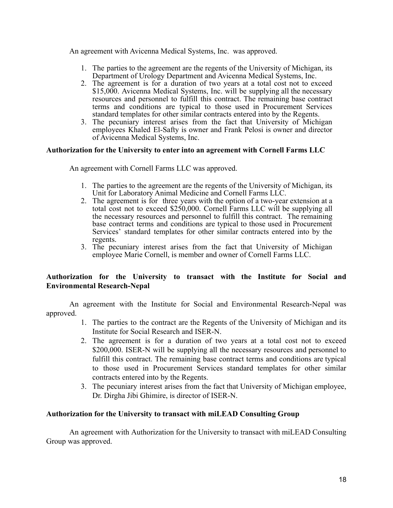An agreement with Avicenna Medical Systems, Inc. was approved.

- 1. The parties to the agreement are the regents of the University of Michigan, its Department of Urology Department and Avicenna Medical Systems, Inc.
- 2. The agreement is for a duration of two years at a total cost not to exceed \$15,000. Avicenna Medical Systems, Inc. will be supplying all the necessary resources and personnel to fulfill this contract. The remaining base contract terms and conditions are typical to those used in Procurement Services standard templates for other similar contracts entered into by the Regents.
- 3. The pecuniary interest arises from the fact that University of Michigan employees Khaled El-Safty is owner and Frank Pelosi is owner and director of Avicenna Medical Systems, Inc.

# **Authorization for the University to enter into an agreement with Cornell Farms LLC**

An agreement with Cornell Farms LLC was approved.

- 1. The parties to the agreement are the regents of the University of Michigan, its Unit for Laboratory Animal Medicine and Cornell Farms LLC.
- 2. The agreement is for three years with the option of a two-year extension at a total cost not to exceed \$250,000. Cornell Farms LLC will be supplying all the necessary resources and personnel to fulfill this contract. The remaining base contract terms and conditions are typical to those used in Procurement Services' standard templates for other similar contracts entered into by the regents.
- 3. The pecuniary interest arises from the fact that University of Michigan employee Marie Cornell, is member and owner of Cornell Farms LLC.

# **Authorization for the University to transact with the Institute for Social and Environmental Research-Nepal**

An agreement with the Institute for Social and Environmental Research-Nepal was approved.

- 1. The parties to the contract are the Regents of the University of Michigan and its Institute for Social Research and ISER-N.
- 2. The agreement is for a duration of two years at a total cost not to exceed \$200,000. ISER-N will be supplying all the necessary resources and personnel to fulfill this contract. The remaining base contract terms and conditions are typical to those used in Procurement Services standard templates for other similar contracts entered into by the Regents.
- 3. The pecuniary interest arises from the fact that University of Michigan employee, Dr. Dirgha Jibi Ghimire, is director of ISER-N.

# **Authorization for the University to transact with miLEAD Consulting Group**

An agreement with Authorization for the University to transact with miLEAD Consulting Group was approved.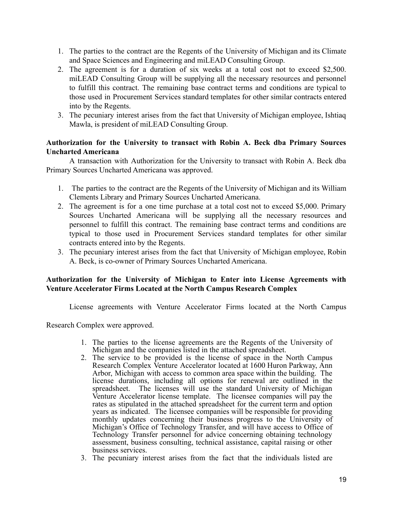- 1. The parties to the contract are the Regents of the University of Michigan and its Climate and Space Sciences and Engineering and miLEAD Consulting Group.
- 2. The agreement is for a duration of six weeks at a total cost not to exceed \$2,500. miLEAD Consulting Group will be supplying all the necessary resources and personnel to fulfill this contract. The remaining base contract terms and conditions are typical to those used in Procurement Services standard templates for other similar contracts entered into by the Regents.
- 3. The pecuniary interest arises from the fact that University of Michigan employee, Ishtiaq Mawla, is president of miLEAD Consulting Group.

# **Authorization for the University to transact with Robin A. Beck dba Primary Sources Uncharted Americana**

A transaction with Authorization for the University to transact with Robin A. Beck dba Primary Sources Uncharted Americana was approved.

- 1. The parties to the contract are the Regents of the University of Michigan and its William Clements Library and Primary Sources Uncharted Americana.
- 2. The agreement is for a one time purchase at a total cost not to exceed \$5,000. Primary Sources Uncharted Americana will be supplying all the necessary resources and personnel to fulfill this contract. The remaining base contract terms and conditions are typical to those used in Procurement Services standard templates for other similar contracts entered into by the Regents.
- 3. The pecuniary interest arises from the fact that University of Michigan employee, Robin A. Beck, is co-owner of Primary Sources Uncharted Americana.

# **Authorization for the University of Michigan to Enter into License Agreements with Venture Accelerator Firms Located at the North Campus Research Complex**

License agreements with Venture Accelerator Firms located at the North Campus

Research Complex were approved.

- 1. The parties to the license agreements are the Regents of the University of Michigan and the companies listed in the attached spreadsheet.
- 2. The service to be provided is the license of space in the North Campus Research Complex Venture Accelerator located at 1600 Huron Parkway, Ann Arbor, Michigan with access to common area space within the building. The license durations, including all options for renewal are outlined in the spreadsheet. The licenses will use the standard University of Michigan Venture Accelerator license template. The licensee companies will pay the rates as stipulated in the attached spreadsheet for the current term and option years as indicated. The licensee companies will be responsible for providing monthly updates concerning their business progress to the University of Michigan's Office of Technology Transfer, and will have access to Office of Technology Transfer personnel for advice concerning obtaining technology assessment, business consulting, technical assistance, capital raising or other business services.
- 3. The pecuniary interest arises from the fact that the individuals listed are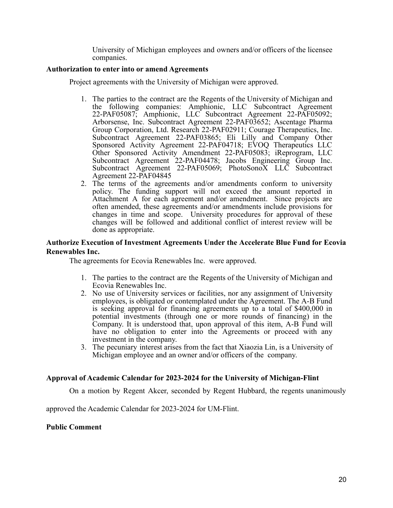University of Michigan employees and owners and/or officers of the licensee companies.

### **Authorization to enter into or amend Agreements**

Project agreements with the University of Michigan were approved.

- 1. The parties to the contract are the Regents of the University of Michigan and the following companies: Amphionic, LLC Subcontract Agreement 22-PAF05087; Amphionic, LLC Subcontract Agreement 22-PAF05092; Arborsense, Inc. Subcontract Agreement 22-PAF03652; Ascentage Pharma Group Corporation, Ltd. Research 22-PAF02911; Courage Therapeutics, Inc. Subcontract Agreement 22-PAF03865; Eli Lilly and Company Other Sponsored Activity Agreement 22-PAF04718; EVOQ Therapeutics LLC Other Sponsored Activity Amendment 22-PAF05083; iReprogram, LLC Subcontract Agreement 22-PAF04478; Jacobs Engineering Group Inc. Subcontract Agreement 22-PAF05069; PhotoSonoX LLC Subcontract Agreement 22-PAF04845
- 2. The terms of the agreements and/or amendments conform to university policy. The funding support will not exceed the amount reported in Attachment A for each agreement and/or amendment. Since projects are often amended, these agreements and/or amendments include provisions for changes in time and scope. University procedures for approval of these changes will be followed and additional conflict of interest review will be done as appropriate.

### **Authorize Execution of Investment Agreements Under the Accelerate Blue Fund for Ecovia Renewables Inc.**

The agreements for Ecovia Renewables Inc. were approved.

- 1. The parties to the contract are the Regents of the University of Michigan and Ecovia Renewables Inc.
- 2. No use of University services or facilities, nor any assignment of University employees, is obligated or contemplated under the Agreement. The A-B Fund is seeking approval for financing agreements up to a total of \$400,000 in potential investments (through one or more rounds of financing) in the Company. It is understood that, upon approval of this item, A-B Fund will have no obligation to enter into the Agreements or proceed with any investment in the company.
- 3. The pecuniary interest arises from the fact that Xiaozia Lin, is a University of Michigan employee and an owner and/or officers of the company.

# **Approval of Academic Calendar for 2023-2024 for the University of Michigan-Flint**

On a motion by Regent Akcer, seconded by Regent Hubbard, the regents unanimously

approved the Academic Calendar for 2023-2024 for UM-Flint.

# **Public Comment**